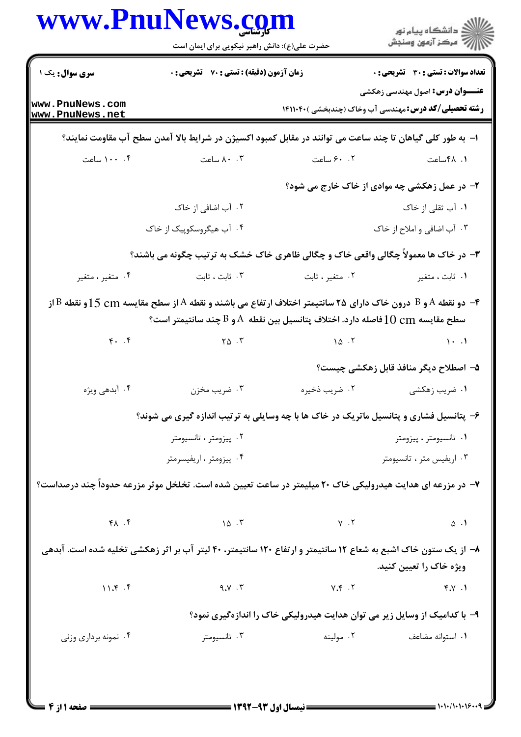|                                    | حضرت علی(ع): دانش راهبر نیکویی برای ایمان است                                                                  |                                                                                                             | ≦ دانشڪاه پيام نور<br>ر∕ = مرڪز آزمون وسنڊش                                                                         |
|------------------------------------|----------------------------------------------------------------------------------------------------------------|-------------------------------------------------------------------------------------------------------------|---------------------------------------------------------------------------------------------------------------------|
| <b>سری سوال :</b> یک ۱             | <b>زمان آزمون (دقیقه) : تستی : 70 قشریحی : 0</b>                                                               |                                                                                                             | <b>تعداد سوالات : تستی : 30 ٪ تشریحی : 0</b>                                                                        |
| www.PnuNews.com<br>www.PnuNews.net |                                                                                                                |                                                                                                             | <b>عنـــوان درس:</b> اصول مهندسی زهکشی<br><b>رشته تحصیلی/کد درس:</b> مهندسی آب وخاک (چندبخشی )۱۴۱۱۰۴۰               |
|                                    | ا– به طور کلی گیاهان تا چند ساعت می توانند در مقابل کمبود اکسیژن در شرایط بالا آمدن سطح آب مقاومت نمایند؟      |                                                                                                             |                                                                                                                     |
| ۰۰، ۱۰۰ ساعت                       | ۰۰ ۸۰ ساعت                                                                                                     | ۰۲ ۶۰ ساعت                                                                                                  | ۰۱ ۴۸ ساعت                                                                                                          |
|                                    | ۲- در عمل زهکشی چه موادی از خاک خارج می شود؟                                                                   |                                                                                                             |                                                                                                                     |
|                                    | ۲. آب اضافی از خاک                                                                                             |                                                                                                             | ۰۱ آب ثقلی از خاک                                                                                                   |
|                                    | ۰۴ آب هیگروسکوپیک از خاک                                                                                       |                                                                                                             | ۰۳ آب اضافي و املاح از خاک                                                                                          |
|                                    |                                                                                                                |                                                                                                             | ۳- در خاک ها معمولاً چگالی واقعی خاک و چگالی ظاهری خاک خشک به ترتیب چگونه می باشند؟                                 |
| ۰۴ متغیر ، متغیر                   | ۰۳ ثابت ، ثابت                                                                                                 | ۰۲ متغیر ، ثابت                                                                                             | ۰۱ ثابت ، متغیر                                                                                                     |
|                                    | سطح مقايسه $10\ {\rm cm}$ فاصله دارد. اختلاف پتانسيل بين نقطه ${\rm A}$ و ${\rm B}$ چند سانتيمتر است؟          |                                                                                                             | و B و نقطه A و B درون خاک دارای ۲۵ سانتیمتر اختلاف ارتفاع می باشند و نقطه A از سطح مقایسه f cm و E و نقطه B از $\,$ |
| F. . F                             | $\gamma_{\Delta}$ . $\gamma$                                                                                   | 10.7                                                                                                        | $\cdots$                                                                                                            |
|                                    |                                                                                                                |                                                                                                             | ۵– اصطلاح دیگر منافذ قابل زهکشی چیست؟                                                                               |
| ۰۴ آبدهی ویژه                      | ۰۳ ضريب مخزن                                                                                                   | ۰۲ ضریب ذخیره                                                                                               | ۰۱ ضریب زهکشی                                                                                                       |
|                                    | ۶- پتانسیل فشاری و پتانسیل ماتریک در خاک ها با چه وسایلی به ترتیب اندازه گیری می شوند؟                         |                                                                                                             |                                                                                                                     |
|                                    | ۰۲ پیزومتر ، تانسیومتر                                                                                         |                                                                                                             | ۰۱ تانسیومتر ، پیزومتر                                                                                              |
|                                    | ۰۴ پیزومتر ، اریفیسرمتر                                                                                        |                                                                                                             | ۰۳ اریفیس متر ، تانسیومتر                                                                                           |
|                                    | ۷– در مزرعه ای هدایت هیدرولیکی خاک ۲۰ میلیمتر در ساعت تعیین شده است. تخلخل موثر مزرعه حدوداً چند درصداست؟      |                                                                                                             |                                                                                                                     |
|                                    |                                                                                                                |                                                                                                             |                                                                                                                     |
| $f \wedge f$                       |                                                                                                                | $\begin{array}{ccc} \n\begin{array}{ccc}\n\lambda & \lambda \\ \lambda & \lambda\n\end{array}\n\end{array}$ | $\Delta$ .                                                                                                          |
|                                    | ۸– از یک ستون خاک اشبع به شعاع ۱۲ سانتیمتر و ارتفاع ۱۲۰ سانتیمتر، ۴۰ لیتر آب بر اثر زهکشی تخلیه شده است. آبدهی |                                                                                                             | ویژه خاک را تعیین کنید.                                                                                             |
| 11.8.5                             | $9.1$ $9.4$                                                                                                    |                                                                                                             | $f \cdot Y$                                                                                                         |
|                                    |                                                                                                                |                                                                                                             | ۹– با کدامیک از وسایل زیر می توان هدایت هیدرولیکی خاک را اندازهگیری نمود؟                                           |

 $=$  1+1+/1+1+1&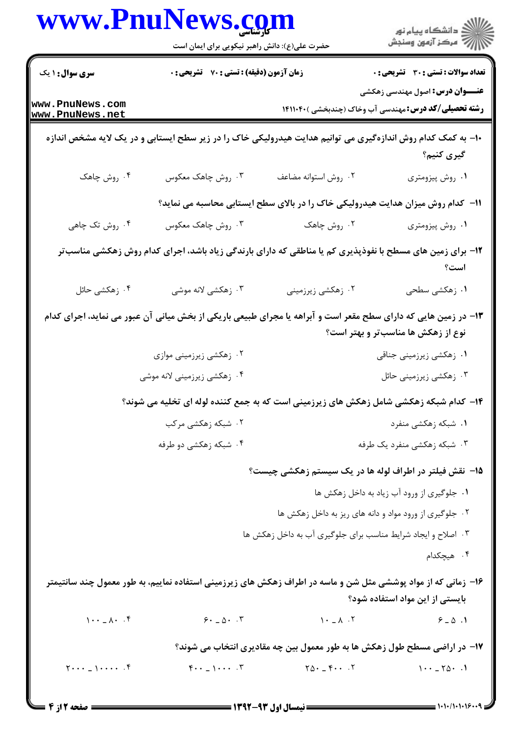|                                         | www.PnuNews.com<br>حضرت علی(ع): دانش راهبر نیکویی برای ایمان است                                                |                                                              | ڪ دانشڪاه پيام نور<br>∕7 مرڪز آزمون وسنڊش                                                                                                                                                                                                                                                                              |
|-----------------------------------------|-----------------------------------------------------------------------------------------------------------------|--------------------------------------------------------------|------------------------------------------------------------------------------------------------------------------------------------------------------------------------------------------------------------------------------------------------------------------------------------------------------------------------|
| <b>سری سوال :</b> ۱ یک                  | زمان آزمون (دقیقه) : تستی : 70 ٪ تشریحی : 0                                                                     |                                                              | تعداد سوالات : تستى : 30 قشريحى : 0                                                                                                                                                                                                                                                                                    |
| www.PnuNews.com<br>www.PnuNews.net      |                                                                                                                 |                                                              | <b>عنـــوان درس:</b> اصول مهندسی زهکشی<br><b>رشته تحصیلی/کد درس:</b> مهندسی آب وخاک (چندبخشی )41104۰                                                                                                                                                                                                                   |
|                                         | ۱۰– به کمک کدام روش اندازهگیری می توانیم هدایت هیدرولیکی خاک را در زیر سطح ایستابی و در یک لایه مشخص اندازه     |                                                              | گیری کنیم؟                                                                                                                                                                                                                                                                                                             |
| ۴. روش چاهک                             | ۰۳ روش چاهک معکوس                                                                                               | ٢. روش استوانه مضاعف                                         | ۰۱ روش پیزومتری                                                                                                                                                                                                                                                                                                        |
|                                         |                                                                                                                 |                                                              | 1۱– کدام روش میزان هدایت هیدرولیکی خاک را در بالای سطح ایستابی محاسبه می نماید؟                                                                                                                                                                                                                                        |
| ۰۴ روش تک چاهی                          | ۰۳ روش چاهک معکوس                                                                                               | ۰۲ روش چاهک                                                  | ۰۱ روش پیزومتری                                                                                                                                                                                                                                                                                                        |
|                                         | ۱۲- برای زمین های مسطح با نفوذپذیری کم یا مناطقی که دارای بارندگی زیاد باشد، اجرای کدام روش زهکشی مناسبتر       |                                                              | است؟                                                                                                                                                                                                                                                                                                                   |
| ۰۴ زهکشی حائل                           | ۴. زهکشی لانه موشی                                                                                              | ۰۲ زهکشی زیرزمینی                                            | ۰۱ زهکشی سطحی                                                                                                                                                                                                                                                                                                          |
|                                         | ۱۳– در زمین هایی که دارای سطح مقعر است و آبراهه یا مجرای طبیعی باریکی از بخش میانی آن عبور می نماید، اجرای کدام |                                                              | نوع از زهکش ها مناسبتر و بهتر است؟                                                                                                                                                                                                                                                                                     |
|                                         | ۰۲ زهکشی زیرزمینی موازی                                                                                         |                                                              | ۰۱ زهکشی زیرزمینی جناقی                                                                                                                                                                                                                                                                                                |
|                                         | ۰۴ زهکشی زیرزمینی لانه موشی                                                                                     |                                                              | ۰۳ زهکشی زیرزمینی حائل                                                                                                                                                                                                                                                                                                 |
|                                         | ۱۴- کدام شبکه زهکشی شامل زهکش های زیرزمینی است که به جمع کننده لوله ای تخلیه می شوند؟                           |                                                              |                                                                                                                                                                                                                                                                                                                        |
|                                         | ۰۲ شبکه زهکشی مرکب                                                                                              |                                                              | ۰۱ شبکه زهکشی منفرد                                                                                                                                                                                                                                                                                                    |
|                                         | ۰۴ شبکه زهکشی دو طرفه                                                                                           |                                                              | ۰۳ شبکه زهکشی منفرد یک طرفه                                                                                                                                                                                                                                                                                            |
|                                         |                                                                                                                 |                                                              | ۱۵– نقش فیلتر در اطراف لوله ها در یک سیستم زهکشی چیست؟                                                                                                                                                                                                                                                                 |
|                                         |                                                                                                                 |                                                              | ٠١ جلوگيري از ورود آب زياد به داخل زهكش ها                                                                                                                                                                                                                                                                             |
|                                         |                                                                                                                 |                                                              | ۰۲ جلوگیری از ورود مواد و دانه های ریز به داخل زهکش ها                                                                                                                                                                                                                                                                 |
|                                         |                                                                                                                 | ۰۳ اصلاح و ایجاد شرایط مناسب برای جلوگیری آب به داخل زهکش ها |                                                                                                                                                                                                                                                                                                                        |
|                                         |                                                                                                                 |                                                              | ۰۴ هیچکدام                                                                                                                                                                                                                                                                                                             |
|                                         | ۱۶– زمانی که از مواد پوششی مثل شن و ماسه در اطراف زهکش های زیرزمینی استفاده نماییم، به طور معمول چند سانتیمتر   |                                                              | بایستی از این مواد استفاده شود؟                                                                                                                                                                                                                                                                                        |
| $1 \cdot \cdot - \lambda \cdot .$       | $5.20 - 0.7$                                                                                                    | $1 - 1 - 1$                                                  | $9 - 0.1$                                                                                                                                                                                                                                                                                                              |
|                                         |                                                                                                                 |                                                              | ۱۷- در اراضی مسطح طول زهکش ها به طور معمول بین چه مقادیری انتخاب می شوند؟                                                                                                                                                                                                                                              |
| $\uparrow \cdots$ $\downarrow \cdots$ . | $F \cdot \cdot \cdot \cdot \cdot$                                                                               | $Y \Delta \cdot \_ \ \ \gamma \cdot \ \ . \ \ Y$             | $1 \cdot \cdot - 70 \cdot .1$                                                                                                                                                                                                                                                                                          |
| = صفحه 12ز 4                            |                                                                                                                 | ـــــ نیمسال اول ۹۳-۱۳۹۲ ــ                                  | $=$ $\frac{1}{2}$ $\frac{1}{2}$ $\frac{1}{2}$ $\frac{1}{2}$ $\frac{1}{2}$ $\frac{1}{2}$ $\frac{1}{2}$ $\frac{1}{2}$ $\frac{1}{2}$ $\frac{1}{2}$ $\frac{1}{2}$ $\frac{1}{2}$ $\frac{1}{2}$ $\frac{1}{2}$ $\frac{1}{2}$ $\frac{1}{2}$ $\frac{1}{2}$ $\frac{1}{2}$ $\frac{1}{2}$ $\frac{1}{2}$ $\frac{1}{2}$ $\frac{1}{2$ |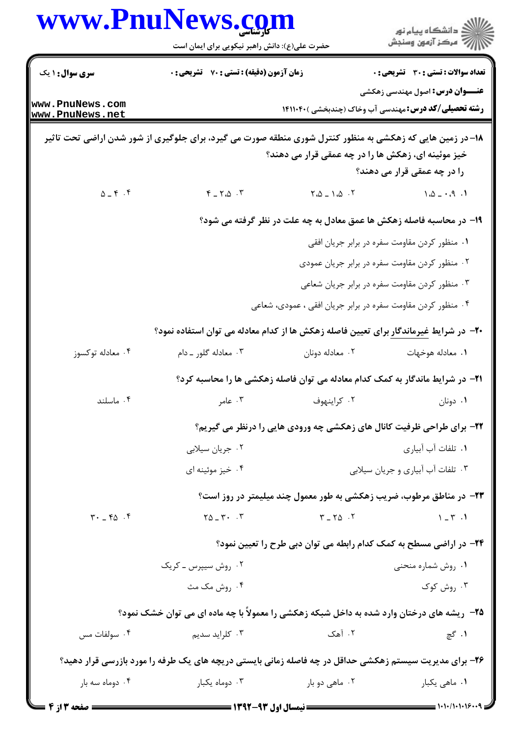|                                                             | حضرت علی(ع): دانش راهبر نیکویی برای ایمان است                                                             |                                                                                       | ِ<br>∭ دانشڪاه پيام نور<br>∭ مرڪز آزمون وسنڊش |
|-------------------------------------------------------------|-----------------------------------------------------------------------------------------------------------|---------------------------------------------------------------------------------------|-----------------------------------------------|
| <b>سری سوال : ۱ یک</b>                                      | زمان آزمون (دقیقه) : تستی : 70 گشریحی : 0                                                                 |                                                                                       | <b>تعداد سوالات : تستی : 30 ٪ تشریحی : 0</b>  |
| www.PnuNews.com<br>www.PnuNews.net                          |                                                                                                           | <b>رشته تحصیلی/کد درس:</b> مهندسی آب وخاک (چندبخشی )۱۴۱۱۰۴۰                           | <b>عنـــوان درس:</b> اصول مهندسی زهکشی        |
|                                                             | ۱۸– در زمین هایی که زهکشی به منظور کنترل شوری منطقه صورت می گیرد، برای جلوگیری از شور شدن اراضی تحت تاثیر | خیز موئینه ای، زهکش ها را در چه عمقی قرار می دهند؟                                    | را در چه عمقی قرار می دهند؟                   |
| $\Delta = \mathfrak{F} \cdot \mathfrak{F}$                  | $Y - Y \Delta \cdot Y$                                                                                    | $\begin{bmatrix} 7 & 0 \\ 0 & -1 & 0 \end{bmatrix}$                                   | $1.0 - .9.1$                                  |
|                                                             | ۱۹- در محاسبه فاصله زهکش ها عمق معادل به چه علت در نظر گرفته می شود؟                                      |                                                                                       |                                               |
|                                                             |                                                                                                           |                                                                                       | ۰۱ منظور کردن مقاومت سفره در برابر جریان افقی |
|                                                             |                                                                                                           | ۰۲ منظور کردن مقاومت سفره در برابر جریان عمودی                                        |                                               |
|                                                             |                                                                                                           | ۰۳ منظور کردن مقاومت سفره در برابر جریان شعاعی                                        |                                               |
|                                                             |                                                                                                           | ۰۴ منظور کردن مقاومت سفره در برابر جریان افقی ، عمودی، شعاعی                          |                                               |
|                                                             | <b>+۲-</b> در شرایط غیرماندگار برای تعیین فاصله زهکش ها از کدام معادله می توان استفاده نمود؟              |                                                                                       |                                               |
| ۰۴ معادله توکسوز                                            | ۰۳ معادله گلور ـ دام                                                                                      | ۰۲ معادله دونان                                                                       | ٠١. معادله هوخهات                             |
|                                                             |                                                                                                           | <b>۲۱</b> - در شرایط ماندگار به کمک کدام معادله می توان فاصله زهکشی ها را محاسبه کرد؟ |                                               |
| ۰۴ ماسلند                                                   | ۰۳ عامر                                                                                                   | ۰۲ کراینهوف                                                                           | ۰۱ دونان                                      |
|                                                             | ۲۲- برای طراحی ظرفیت کانال های زهکشی چه ورودی هایی را درنظر می گیریم؟                                     |                                                                                       |                                               |
|                                                             | ۰۲ جریان سیلابی                                                                                           | ۰۱ تلفات آب آبیاری                                                                    |                                               |
|                                                             | ۰۴ خیز موئینه ای                                                                                          | ۰۳ تلفات آب آبیاری و جریان سیلابی                                                     |                                               |
|                                                             |                                                                                                           | <b>۲۳</b> - در مناطق مرطوب، ضریب زهکشی به طور معمول چند میلیمتر در روز است؟           |                                               |
| $\mathbf{r} \cdot \mathbf{r} = \mathbf{r} \cdot \mathbf{r}$ | $Y\Delta = Y - Y$                                                                                         | $Y - Y\Delta$ .                                                                       | $1 - r$ .                                     |
|                                                             | ۲۴– در اراضی مسطح به کمک کدام رابطه می توان دبی طرح را تعیین نمود؟                                        |                                                                                       |                                               |
|                                                             | ۰۲ روش سیپرس ــ کریک                                                                                      |                                                                                       | ۰۱ روش شماره منحنی                            |
|                                                             | ۰۴ روش مک مث                                                                                              |                                                                                       | ۰۳ روش کوک                                    |
|                                                             | ۲۵- ریشه های درختان وارد شده به داخل شبکه زهکشی را معمولاً با چه ماده ای می توان خشک نمود؟                |                                                                                       |                                               |
| ۰۴ سولفات مس                                                | ۰۳ کلراید سدیم                                                                                            | ۰۲ آهک                                                                                | ۰۱ گچ                                         |
|                                                             | ۲۶- برای مدیریت سیستم زهکشی حداقل در چه فاصله زمانی بایستی دریچه های یک طرفه را مورد بازرسی قرار دهید؟    |                                                                                       |                                               |
| ۰۴ دوماه سه بار                                             | ۰۳ دوماه یکبار                                                                                            | ۰۲ ماهی دو بار                                                                        | ۰۱ ماهي يکبار                                 |